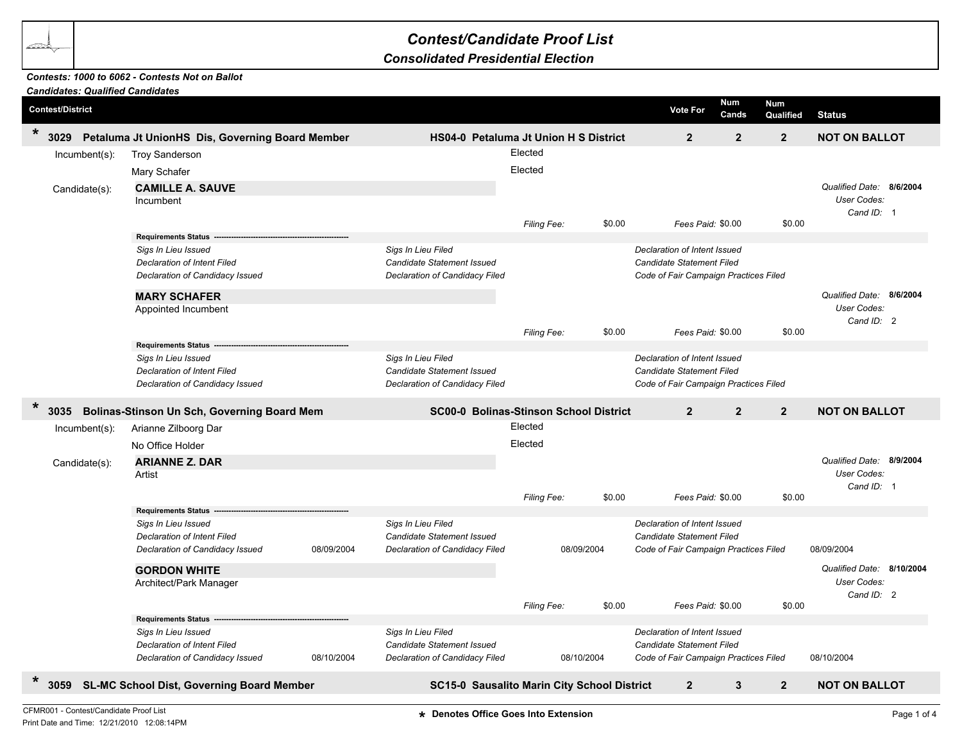## *Contest/Candidate Proof List*

## *Consolidated Presidential Election*

## *Contests: 1000 to 6062 - Contests Not on Ballot*

| <b>Candidates: Qualified Candidates</b>                            |                                                   |            |                                               |                |                |                                                                                                    |                      |                         |                                          |  |
|--------------------------------------------------------------------|---------------------------------------------------|------------|-----------------------------------------------|----------------|----------------|----------------------------------------------------------------------------------------------------|----------------------|-------------------------|------------------------------------------|--|
| <b>Contest/District</b>                                            |                                                   |            |                                               |                |                | <b>Vote For</b>                                                                                    | <b>Num</b><br>Cands  | <b>Num</b><br>Qualified | <b>Status</b>                            |  |
| $\star$<br>3029<br>Petaluma Jt UnionHS Dis, Governing Board Member |                                                   |            | HS04-0 Petaluma Jt Union H S District         | $\overline{2}$ | $\overline{2}$ | $\overline{2}$                                                                                     | <b>NOT ON BALLOT</b> |                         |                                          |  |
| Incumbent(s):                                                      | <b>Troy Sanderson</b>                             |            |                                               | Elected        |                |                                                                                                    |                      |                         |                                          |  |
|                                                                    | Mary Schafer                                      |            |                                               |                |                |                                                                                                    |                      |                         |                                          |  |
|                                                                    | <b>CAMILLE A. SAUVE</b>                           |            |                                               |                |                |                                                                                                    |                      |                         | Qualified Date: 8/6/2004                 |  |
| Candidate(s):                                                      | Incumbent                                         |            |                                               |                |                |                                                                                                    |                      |                         | User Codes:                              |  |
|                                                                    |                                                   |            |                                               |                |                |                                                                                                    |                      |                         | Cand ID: 1                               |  |
|                                                                    |                                                   |            |                                               | Filing Fee:    | \$0.00         | Fees Paid: \$0.00                                                                                  |                      | \$0.00                  |                                          |  |
|                                                                    | <b>Requirements Status</b>                        |            |                                               |                |                |                                                                                                    |                      |                         |                                          |  |
|                                                                    | Sigs In Lieu Issued                               |            | Sigs In Lieu Filed                            |                |                | Declaration of Intent Issued                                                                       |                      |                         |                                          |  |
|                                                                    | <b>Declaration of Intent Filed</b>                |            | <b>Candidate Statement Issued</b>             |                |                | <b>Candidate Statement Filed</b>                                                                   |                      |                         |                                          |  |
|                                                                    | Declaration of Candidacy Issued                   |            | Declaration of Candidacy Filed                |                |                | Code of Fair Campaign Practices Filed                                                              |                      |                         |                                          |  |
|                                                                    | <b>MARY SCHAFER</b>                               |            |                                               |                |                |                                                                                                    |                      |                         | Qualified Date: 8/6/2004                 |  |
|                                                                    | Appointed Incumbent                               |            |                                               |                |                |                                                                                                    |                      |                         | User Codes:                              |  |
|                                                                    |                                                   |            |                                               |                |                |                                                                                                    |                      |                         | Cand ID: 2                               |  |
|                                                                    | <b>Requirements Status</b>                        |            |                                               | Filing Fee:    | \$0.00         | Fees Paid: \$0.00                                                                                  |                      | \$0.00                  |                                          |  |
|                                                                    | Sigs In Lieu Issued                               |            | Sigs In Lieu Filed                            |                |                | Declaration of Intent Issued                                                                       |                      |                         |                                          |  |
|                                                                    | Declaration of Intent Filed                       |            | Candidate Statement Issued                    |                |                | Candidate Statement Filed                                                                          |                      |                         |                                          |  |
|                                                                    | Declaration of Candidacy Issued                   |            | Declaration of Candidacy Filed                |                |                | Code of Fair Campaign Practices Filed                                                              |                      |                         |                                          |  |
|                                                                    |                                                   |            |                                               |                |                |                                                                                                    |                      |                         |                                          |  |
| $\star$<br>3035                                                    | Bolinas-Stinson Un Sch, Governing Board Mem       |            | <b>SC00-0 Bolinas-Stinson School District</b> |                |                | $\overline{2}$                                                                                     | $\overline{2}$       | $2^{\circ}$             | <b>NOT ON BALLOT</b>                     |  |
| $Incumbent(s)$ :                                                   | Arianne Zilboorg Dar                              |            |                                               | Elected        |                |                                                                                                    |                      |                         |                                          |  |
|                                                                    | No Office Holder                                  |            |                                               | Elected        |                |                                                                                                    |                      |                         |                                          |  |
| Candidate(s):                                                      | <b>ARIANNE Z. DAR</b>                             |            |                                               |                |                |                                                                                                    |                      |                         | Qualified Date: 8/9/2004                 |  |
|                                                                    | Artist                                            |            |                                               |                |                |                                                                                                    |                      |                         | User Codes:                              |  |
|                                                                    |                                                   |            |                                               |                |                |                                                                                                    |                      |                         | Cand ID: 1                               |  |
|                                                                    |                                                   |            |                                               | Filing Fee:    | \$0.00         | Fees Paid: \$0.00                                                                                  |                      | \$0.00                  |                                          |  |
|                                                                    | <b>Requirements Status</b><br>Sigs In Lieu Issued |            | Sigs In Lieu Filed                            |                |                | Declaration of Intent Issued                                                                       |                      |                         |                                          |  |
|                                                                    | Declaration of Intent Filed                       |            | <b>Candidate Statement Issued</b>             |                |                | <b>Candidate Statement Filed</b>                                                                   |                      |                         |                                          |  |
|                                                                    | Declaration of Candidacy Issued                   | 08/09/2004 | Declaration of Candidacy Filed                | 08/09/2004     |                | Code of Fair Campaign Practices Filed                                                              |                      |                         | 08/09/2004                               |  |
|                                                                    |                                                   |            |                                               |                |                |                                                                                                    |                      |                         |                                          |  |
|                                                                    | <b>GORDON WHITE</b>                               |            |                                               |                |                |                                                                                                    |                      |                         | Qualified Date: 8/10/2004<br>User Codes: |  |
|                                                                    | Architect/Park Manager                            |            |                                               |                |                |                                                                                                    |                      |                         | Cand ID: 2                               |  |
|                                                                    |                                                   |            |                                               | Filing Fee:    | \$0.00         | Fees Paid: \$0.00                                                                                  |                      | \$0.00                  |                                          |  |
|                                                                    | <b>Requirements Status</b><br>Sigs In Lieu Issued |            |                                               |                |                |                                                                                                    |                      |                         |                                          |  |
|                                                                    |                                                   |            | Sigs In Lieu Filed                            |                |                | Declaration of Intent Issued<br>Candidate Statement Filed<br>Code of Fair Campaign Practices Filed |                      |                         |                                          |  |
|                                                                    | <b>Declaration of Intent Filed</b>                |            | Candidate Statement Issued                    | 08/10/2004     |                |                                                                                                    |                      |                         |                                          |  |
|                                                                    | Declaration of Candidacy Issued                   | 08/10/2004 | Declaration of Candidacy Filed                |                |                |                                                                                                    |                      |                         | 08/10/2004                               |  |
| $\ast$<br><b>SL-MC School Dist, Governing Board Member</b><br>3059 |                                                   |            | SC15-0 Sausalito Marin City School District   | $\overline{2}$ | 3              | $\overline{2}$                                                                                     | <b>NOT ON BALLOT</b> |                         |                                          |  |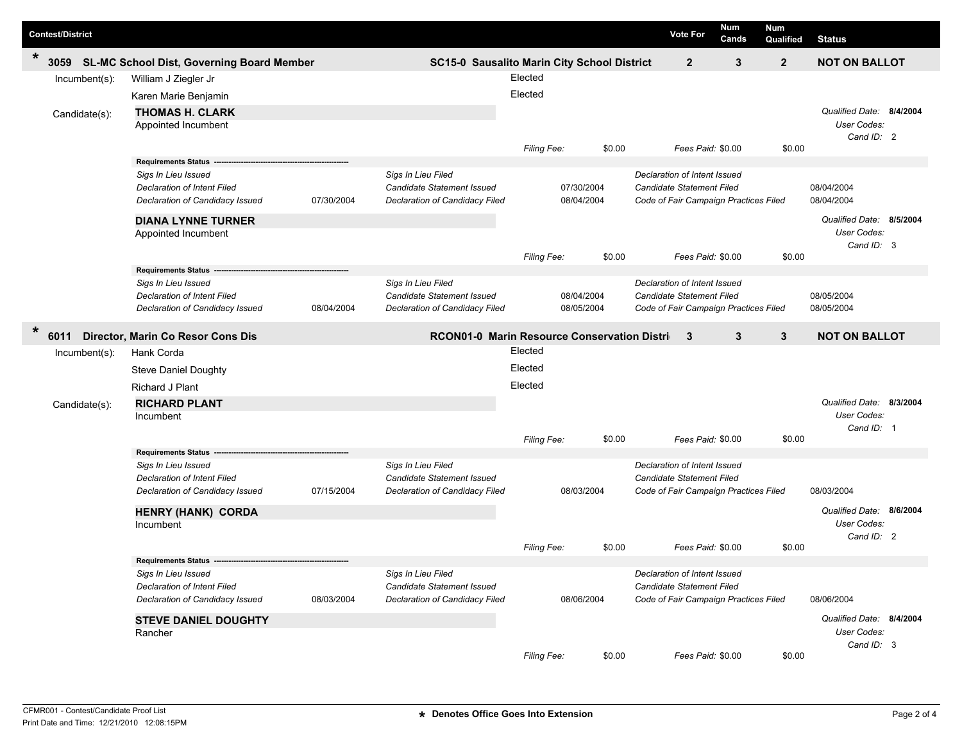| <b>Contest/District</b> |                                                   |            |                                                  |                    |            |                                       | <b>Vote For</b>                       | Num<br>Cands | <b>Num</b><br>Qualified | <b>Status</b>            |                          |
|-------------------------|---------------------------------------------------|------------|--------------------------------------------------|--------------------|------------|---------------------------------------|---------------------------------------|--------------|-------------------------|--------------------------|--------------------------|
| $\ast$<br>3059          | <b>SL-MC School Dist, Governing Board Member</b>  |            | SC15-0 Sausalito Marin City School District      |                    |            |                                       | $\mathbf{2}$                          | $\mathbf{3}$ | $\overline{2}$          | <b>NOT ON BALLOT</b>     |                          |
| Incumbent(s):           | William J Ziegler Jr                              |            |                                                  |                    |            |                                       |                                       |              |                         |                          |                          |
|                         | Karen Marie Benjamin                              |            |                                                  |                    |            |                                       |                                       |              |                         |                          |                          |
| Candidate(s):           | <b>THOMAS H. CLARK</b>                            |            |                                                  |                    |            |                                       |                                       |              |                         | Qualified Date: 8/4/2004 |                          |
|                         | Appointed Incumbent                               |            |                                                  |                    |            |                                       |                                       |              |                         | User Codes:              |                          |
|                         |                                                   |            |                                                  |                    |            |                                       |                                       |              |                         | Cand ID: 2               |                          |
|                         |                                                   |            |                                                  | Filing Fee:        |            | \$0.00                                | Fees Paid: \$0.00                     |              | \$0.00                  |                          |                          |
|                         | <b>Requirements Status</b><br>Sigs In Lieu Issued |            | Sigs In Lieu Filed                               |                    |            |                                       | Declaration of Intent Issued          |              |                         |                          |                          |
|                         | <b>Declaration of Intent Filed</b>                |            | Candidate Statement Issued                       |                    | 07/30/2004 |                                       | Candidate Statement Filed             |              |                         | 08/04/2004               |                          |
|                         | Declaration of Candidacy Issued                   | 07/30/2004 | Declaration of Candidacy Filed                   |                    | 08/04/2004 |                                       | Code of Fair Campaign Practices Filed |              |                         | 08/04/2004               |                          |
|                         | <b>DIANA LYNNE TURNER</b>                         |            |                                                  |                    |            |                                       |                                       |              |                         | Qualified Date: 8/5/2004 |                          |
|                         | Appointed Incumbent                               |            |                                                  |                    |            |                                       |                                       |              |                         | User Codes:              |                          |
|                         |                                                   |            |                                                  | Filing Fee:        |            | \$0.00                                | Fees Paid: \$0.00                     |              | \$0.00                  | Cand ID: 3               |                          |
|                         | <b>Requirements Status</b>                        |            |                                                  |                    |            |                                       |                                       |              |                         |                          |                          |
|                         | Sigs In Lieu Issued                               |            | Sigs In Lieu Filed                               |                    |            |                                       | Declaration of Intent Issued          |              |                         |                          |                          |
|                         | <b>Declaration of Intent Filed</b>                |            | Candidate Statement Issued                       |                    | 08/04/2004 |                                       | Candidate Statement Filed             |              |                         | 08/05/2004               |                          |
|                         | Declaration of Candidacy Issued                   | 08/04/2004 | Declaration of Candidacy Filed                   |                    | 08/05/2004 |                                       | Code of Fair Campaign Practices Filed |              |                         | 08/05/2004               |                          |
| $\ast$                  | 6011 Director, Marin Co Resor Cons Dis            |            | RCON01-0 Marin Resource Conservation Distriction |                    |            |                                       |                                       | $\mathbf{3}$ | 3                       | <b>NOT ON BALLOT</b>     |                          |
| Incumbent(s):           | Hank Corda                                        |            |                                                  | Elected            |            |                                       |                                       |              |                         |                          |                          |
|                         | <b>Steve Daniel Doughty</b>                       |            |                                                  | Elected            |            |                                       |                                       |              |                         |                          |                          |
|                         | Richard J Plant                                   |            |                                                  | Elected            |            |                                       |                                       |              |                         |                          |                          |
| Candidate(s):           | <b>RICHARD PLANT</b>                              |            |                                                  |                    |            |                                       |                                       |              |                         | Qualified Date: 8/3/2004 |                          |
|                         | Incumbent                                         |            |                                                  |                    |            |                                       |                                       |              |                         | User Codes:              |                          |
|                         |                                                   |            |                                                  |                    |            |                                       |                                       |              |                         | Cand ID: 1               |                          |
|                         | <b>Requirements Status -</b>                      |            |                                                  | Filing Fee:        |            | \$0.00                                | Fees Paid: \$0.00                     |              | \$0.00                  |                          |                          |
|                         | Sigs In Lieu Issued                               |            | Sigs In Lieu Filed                               |                    |            |                                       | Declaration of Intent Issued          |              |                         |                          |                          |
|                         | <b>Declaration of Intent Filed</b>                |            | Candidate Statement Issued                       |                    |            |                                       | Candidate Statement Filed             |              |                         |                          |                          |
|                         | Declaration of Candidacy Issued                   | 07/15/2004 | Declaration of Candidacy Filed                   |                    | 08/03/2004 |                                       | Code of Fair Campaign Practices Filed |              |                         | 08/03/2004               |                          |
|                         | HENRY (HANK) CORDA                                |            |                                                  |                    |            |                                       |                                       |              |                         | Qualified Date: 8/6/2004 |                          |
|                         | Incumbent                                         |            |                                                  |                    |            |                                       |                                       |              |                         | User Codes:              |                          |
|                         |                                                   |            |                                                  |                    |            |                                       |                                       |              |                         | Cand ID: 2               |                          |
|                         |                                                   |            |                                                  | Filing Fee:        |            | \$0.00                                | Fees Paid: \$0.00                     |              | \$0.00                  |                          |                          |
|                         | <b>Requirements Status</b><br>Sigs In Lieu Issued |            | Sigs In Lieu Filed                               |                    |            |                                       | Declaration of Intent Issued          |              |                         |                          |                          |
|                         | Declaration of Intent Filed                       |            | Candidate Statement Issued                       |                    |            |                                       | Candidate Statement Filed             |              |                         |                          |                          |
|                         | Declaration of Candidacy Issued                   | 08/03/2004 | Declaration of Candidacy Filed                   | 08/06/2004         |            | Code of Fair Campaign Practices Filed |                                       |              | 08/06/2004              |                          |                          |
|                         | <b>STEVE DANIEL DOUGHTY</b>                       |            |                                                  |                    |            |                                       |                                       |              |                         |                          | Qualified Date: 8/4/2004 |
|                         | Rancher                                           |            |                                                  |                    |            |                                       |                                       |              |                         | User Codes:              |                          |
|                         |                                                   |            |                                                  |                    |            |                                       |                                       |              |                         | Cand ID: 3               |                          |
|                         |                                                   |            |                                                  | <b>Filing Fee:</b> |            | \$0.00                                | Fees Paid: \$0.00                     |              | \$0.00                  |                          |                          |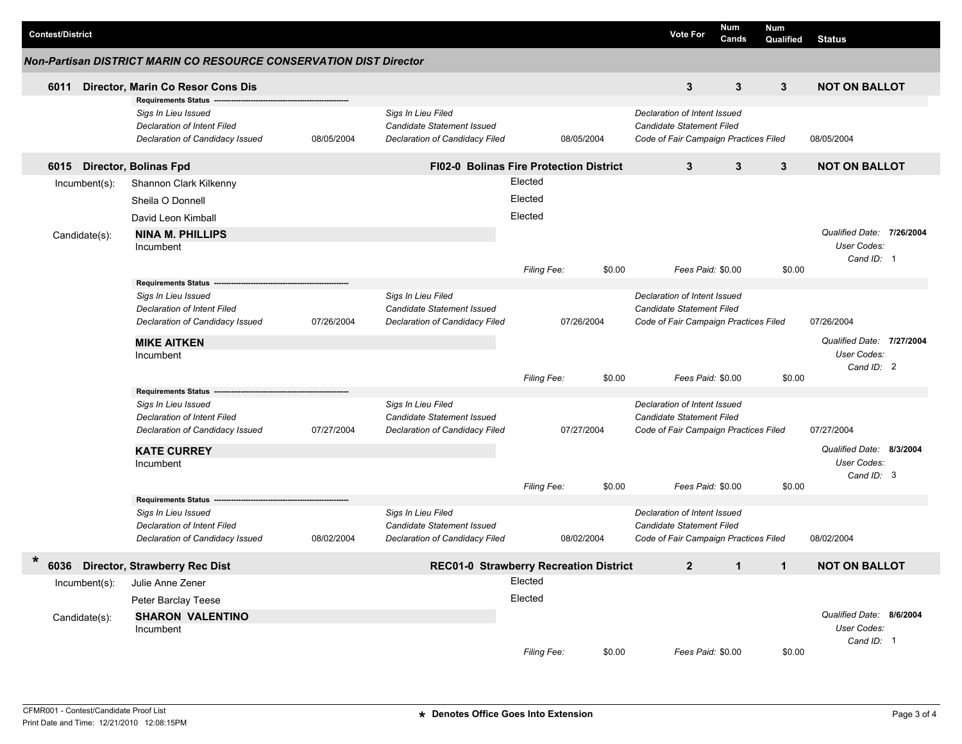| <b>Contest/District</b>        |                                                                                                                                                        |            |                                                                                    |                               |            |        | <b>Vote For</b>                                                                                    | Num<br>Cands | <b>Num</b><br>Qualified                                | <b>Status</b>                                          |          |
|--------------------------------|--------------------------------------------------------------------------------------------------------------------------------------------------------|------------|------------------------------------------------------------------------------------|-------------------------------|------------|--------|----------------------------------------------------------------------------------------------------|--------------|--------------------------------------------------------|--------------------------------------------------------|----------|
|                                | <b>Non-Partisan DISTRICT MARIN CO RESOURCE CONSERVATION DIST Director</b>                                                                              |            |                                                                                    |                               |            |        |                                                                                                    |              |                                                        |                                                        |          |
| 6011                           | Director, Marin Co Resor Cons Dis                                                                                                                      |            |                                                                                    |                               |            |        | 3                                                                                                  | 3            | 3                                                      | <b>NOT ON BALLOT</b>                                   |          |
|                                | <b>Requirements Status</b><br>Sigs In Lieu Issued<br><b>Declaration of Intent Filed</b><br>Declaration of Candidacy Issued                             | 08/05/2004 | Sigs In Lieu Filed<br>Candidate Statement Issued<br>Declaration of Candidacy Filed |                               | 08/05/2004 |        | Declaration of Intent Issued<br>Candidate Statement Filed<br>Code of Fair Campaign Practices Filed |              |                                                        | 08/05/2004                                             |          |
| 6015                           | <b>Director, Bolinas Fpd</b>                                                                                                                           |            | <b>FI02-0 Bolinas Fire Protection District</b>                                     |                               |            |        | 3                                                                                                  | 3            | $\mathbf{3}$                                           | <b>NOT ON BALLOT</b>                                   |          |
| Incumbent(s):                  | Shannon Clark Kilkenny<br>Sheila O Donnell                                                                                                             |            |                                                                                    | Elected<br>Elected<br>Elected |            |        |                                                                                                    |              |                                                        | Qualified Date: 7/26/2004<br>User Codes:<br>Cand ID: 1 |          |
| Candidate(s):                  | David Leon Kimball<br><b>NINA M. PHILLIPS</b><br>Incumbent                                                                                             |            |                                                                                    |                               |            |        |                                                                                                    |              |                                                        |                                                        |          |
|                                |                                                                                                                                                        |            |                                                                                    | Filing Fee:                   |            | \$0.00 | Fees Paid: \$0.00                                                                                  |              | \$0.00                                                 |                                                        |          |
|                                | <b>Requirements Status</b><br>Sigs In Lieu Issued<br>Declaration of Intent Filed<br>Declaration of Candidacy Issued<br><b>MIKE AITKEN</b><br>Incumbent | 07/26/2004 | Sigs In Lieu Filed<br>Candidate Statement Issued<br>Declaration of Candidacy Filed |                               | 07/26/2004 |        | Declaration of Intent Issued<br>Candidate Statement Filed<br>Code of Fair Campaign Practices Filed |              | 07/26/2004<br>Qualified Date: 7/27/2004<br>User Codes: |                                                        |          |
|                                |                                                                                                                                                        |            |                                                                                    | Filing Fee:                   |            | \$0.00 | Fees Paid: \$0.00                                                                                  |              | \$0.00                                                 | Cand ID: 2                                             |          |
|                                | <b>Requirements Status</b><br>Sigs In Lieu Issued<br>Declaration of Intent Filed<br>Declaration of Candidacy Issued<br><b>KATE CURREY</b><br>Incumbent | 07/27/2004 | Sigs In Lieu Filed<br>Candidate Statement Issued<br>Declaration of Candidacy Filed |                               | 07/27/2004 |        | Declaration of Intent Issued<br>Candidate Statement Filed<br>Code of Fair Campaign Practices Filed |              |                                                        | 07/27/2004<br>Qualified Date:<br>User Codes:           | 8/3/2004 |
|                                |                                                                                                                                                        |            |                                                                                    | Filing Fee:                   |            | \$0.00 | Fees Paid: \$0.00                                                                                  |              | \$0.00                                                 | Cand ID: 3                                             |          |
|                                | Requirements Status ---<br>Sigs In Lieu Issued<br><b>Declaration of Intent Filed</b><br>Declaration of Candidacy Issued                                | 08/02/2004 | Sigs In Lieu Filed<br>Candidate Statement Issued<br>Declaration of Candidacy Filed |                               | 08/02/2004 |        | Declaration of Intent Issued<br>Candidate Statement Filed<br>Code of Fair Campaign Practices Filed |              |                                                        | 08/02/2004                                             |          |
| $\ast$                         | 6036 Director, Strawberry Rec Dist                                                                                                                     |            | REC01-0 Strawberry Recreation District                                             |                               |            |        | $\mathbf{2}$                                                                                       | $\mathbf{1}$ | $\mathbf{1}$                                           | <b>NOT ON BALLOT</b>                                   |          |
| Incumbent(s):<br>Candidate(s): | Julie Anne Zener<br>Peter Barclay Teese<br><b>SHARON VALENTINO</b><br>Incumbent                                                                        |            |                                                                                    | Elected<br>Elected            |            |        |                                                                                                    |              |                                                        | Qualified Date: 8/6/2004<br>User Codes:                |          |
|                                |                                                                                                                                                        |            |                                                                                    | Filing Fee:                   |            | \$0.00 | Fees Paid: \$0.00                                                                                  |              | \$0.00                                                 | Cand ID: 1                                             |          |